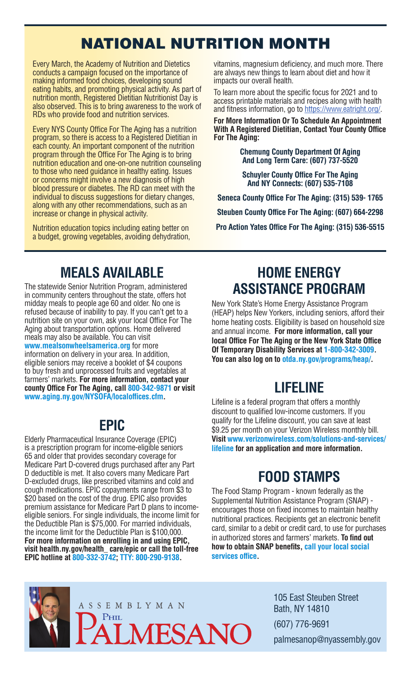# NATIONAL NUTRITION MONTH

Every March, the Academy of Nutrition and Dietetics conducts a campaign focused on the importance of making informed food choices, developing sound eating habits, and promoting physical activity. As part of nutrition month, Registered Dietitian Nutritionist Day is also observed. This is to bring awareness to the work of RDs who provide food and nutrition services.

Every NYS County Office For The Aging has a nutrition program, so there is access to a Registered Dietitian in each county. An important component of the nutrition program through the Office For The Aging is to bring nutrition education and one-on-one nutrition counseling to those who need guidance in healthy eating. Issues or concerns might involve a new diagnosis of high blood pressure or diabetes. The RD can meet with the individual to discuss suggestions for dietary changes, along with any other recommendations, such as an increase or change in physical activity.

Nutrition education topics including eating better on a budget, growing vegetables, avoiding dehydration, vitamins, magnesium deficiency, and much more. There are always new things to learn about diet and how it impacts our overall health.

To learn more about the specific focus for 2021 and to access printable materials and recipes along with health and fitness information, go to https://www.eatright.org/.

**For More Information Or To Schedule An Appointment With A Registered Dietitian, Contact Your County Office For The Aging:**

> **Chemung County Department Of Aging And Long Term Care: (607) 737-5520**

**Schuyler County Office For The Aging And NY Connects: (607) 535-7108**

**Seneca County Office For The Aging: (315) 539- 1765 Steuben County Office For The Aging: (607) 664-2298 Pro Action Yates Office For The Aging: (315) 536-5515**

### **MEALS AVAILABLE**

The statewide Senior Nutrition Program, administered in community centers throughout the state, offers hot midday meals to people age 60 and older. No one is refused because of inability to pay. If you can't get to a nutrition site on your own, ask your local Office For The Aging about transportation options. Home delivered meals may also be available. You can visit **www.mealsonwheelsamerica.org** for more information on delivery in your area. In addition, eligible seniors may receive a booklet of \$4 coupons to buy fresh and unprocessed fruits and vegetables at farmers' markets. **For more information, contact your county Office For The Aging, call 800-342-9871 or visit www.aging.ny.gov/NYSOFA/localoffices.cfm.**

## **EPIC**

Elderly Pharmaceutical Insurance Coverage (EPIC) is a prescription program for income-eligible seniors 65 and older that provides secondary coverage for Medicare Part D-covered drugs purchased after any Part D deductible is met. It also covers many Medicare Part D-excluded drugs, like prescribed vitamins and cold and cough medications. EPIC copayments range from \$3 to \$20 based on the cost of the drug. EPIC also provides premium assistance for Medicare Part D plans to incomeeligible seniors. For single individuals, the income limit for the Deductible Plan is \$75,000. For married individuals, the income limit for the Deductible Plan is \$100,000. **For more information on enrolling in and using EPIC, visit health.ny.gov/health\_ care/epic or call the toll-free EPIC hotline at 800-332-3742; TTY: 800-290-9138.**

#### **HOME ENERGY ASSISTANCE PROGRAM**

New York State's Home Energy Assistance Program (HEAP) helps New Yorkers, including seniors, afford their home heating costs. Eligibility is based on household size and annual income. **For more information, call your local Office For The Aging or the New York State Office Of Temporary Disability Services at 1-800-342-3009. You can also log on to otda.ny.gov/programs/heap/.**

# **LIFELINE**

Lifeline is a federal program that offers a monthly discount to qualified low-income customers. If you qualify for the Lifeline discount, you can save at least \$9.25 per month on your Verizon Wireless monthly bill. **Visit www.verizonwireless.com/solutions-and-services/ lifeline for an application and more information.**

## **FOOD STAMPS**

The Food Stamp Program - known federally as the Supplemental Nutrition Assistance Program (SNAP) encourages those on fixed incomes to maintain healthy nutritional practices. Recipients get an electronic benefit card, similar to a debit or credit card, to use for purchases in authorized stores and farmers' markets. **To find out how to obtain SNAP benefits, call your local social services office.**



105 East Steuben Street Bath, NY 14810 (607) 776-9691 palmesanop@nyassembly.gov